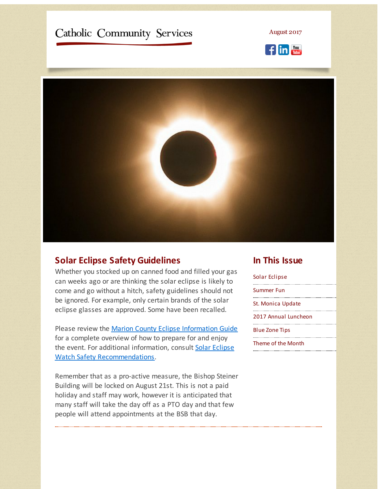# <span id="page-0-0"></span>Catholic Community Services

August 2017





#### **Solar Eclipse Safety Guidelines**

Whether you stocked up on canned food and filled your gas can weeks ago or are thinking the solar eclipse is likely to come and go without a hitch, safety guidelines should not be ignored. For example, only certain brands of the solar eclipse glasses are approved. Some have been recalled.

Please review the Marion County Eclipse [Information](http://r20.rs6.net/tn.jsp?f=001n3HckLhJJ6m86kBktiY3RoszDREXw4-FHBy9prpGKqFqX-0sgrFbOP3TO0TpLTjUXCvxHqwvtvSJo1xLCzkR_Bpg8ZlgrObaq6WM97fR3LSOSdc7okhKJYESEjN-lIG7F_Nho_kjuepa33X3KKfZYx3MIs-WUqrRhlHYgiWZRd_5iDSabLB9PDi_yIdiIrW6gf8IUZhPB9pQiXB4w4IarlE6exAeML9bpcgNxuwPJieCty2ySoyPtZMUctcqhscr&c=&ch=) Guide for a complete overview of how to prepare for and enjoy the event. For additional information, consult Solar Eclipse Watch Safety [Recommendations.](http://r20.rs6.net/tn.jsp?f=001n3HckLhJJ6m86kBktiY3RoszDREXw4-FHBy9prpGKqFqX-0sgrFbOP3TO0TpLTjUop4nEncK7ETQQIX49o3EQknPDyA8KrxbIL6Dx1zJUO6uvJGmoAuc1G4h0rxm4AJAW4pi4k5M-pGug36YiAs0zCh5-BVNKahXg6kKsfJfQDXGFCYLYVgNBzTWN-mZXKFzQskUVy0w6LnODwT1_v8ymTPDhq2ao9__foOxPQmJeY6DuBMB6H03V66uNqJ3O4LJvVhoTWRfAh02R9Wvo68EiOF_yUCAwWOi&c=&ch=)

Remember that as a pro-active measure, the Bishop Steiner Building will be locked on August 21st. This is not a paid holiday and staff may work, however it is anticipated that many staff will take the day off as a PTO day and that few people will attend appointments at the BSB that day.

#### **In This Issue**

Solar [Eclipse](#page-0-0)

[Summer](#page-0-0) Fun

St. [Monica](#page-0-0) Update

2017 Annual [Luncheon](#page-0-0)

Blue [Zone](#page-0-0) Tips

[Theme](#page-0-0) of the Month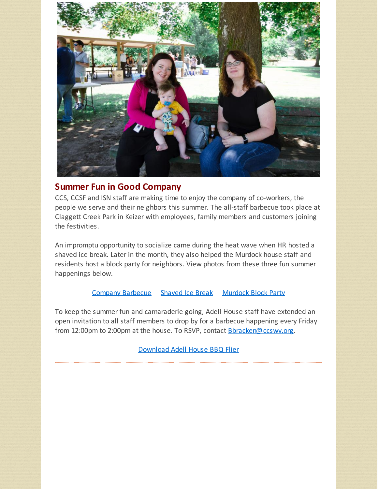

### **Summer Fun in Good Company**

CCS, CCSF and ISN staff are making time to enjoy the company of co-workers, the people we serve and their neighbors this summer. The all-staff barbecue took place at Claggett Creek Park in Keizer with employees, family members and customers joining the festivities.

An impromptu opportunity to socialize came during the heat wave when HR hosted a shaved ice break. Later in the month, they also helped the Murdock house staff and residents host a block party for neighbors. View photos from these three fun summer happenings below.

#### Company [Barbecue](http://r20.rs6.net/tn.jsp?f=001n3HckLhJJ6m86kBktiY3RoszDREXw4-FHBy9prpGKqFqX-0sgrFbOP3TO0TpLTjU0_AmHrmhawuBcUwb41_u88U1qoPNHr3kJksZVCsxGCyOdo5rUaVrEK3-zXMcmnZvX2EENvPUhmbI9vmWNRZ_Odr3QkhRt6-1n-UJ_8dsBZSvko4pgxyH_su6QXh7Au5z--I8In_ya3s=&c=&ch=) [Shaved](http://r20.rs6.net/tn.jsp?f=001n3HckLhJJ6m86kBktiY3RoszDREXw4-FHBy9prpGKqFqX-0sgrFbOP3TO0TpLTjUomNFr01KCgLtASWiGz0vRmsDLv_Q4iHHZSnbSwdD07anjoQ6aKG1v5CtlzGmx2aTiTpp-Sp5h0oMy6FqCsk5U8RBlMPngt5M6rPOmxxbgIQrb1DGvxJEPWXEjbVgEx3kD9D3Rwx9Kns=&c=&ch=) Ice Break [Murdock](http://r20.rs6.net/tn.jsp?f=001n3HckLhJJ6m86kBktiY3RoszDREXw4-FHBy9prpGKqFqX-0sgrFbOP3TO0TpLTjUEzov-4I1nk3T_yliySNSPeGUfnNwbNkFzJlcrqOPyecOoj93JZNpJL7vR0QlNARCTGovVs6givASIH-f5b4hScpHSPVUCLNKEGorE5QLRSVNRDvwRzg1zOpruHFnOKCMeQMfyrxGROY=&c=&ch=) Block Party

To keep the summer fun and camaraderie going, Adell House staff have extended an open invitation to all staff members to drop by for a barbecue happening every Friday from 12:00pm to 2:00pm at the house. To RSVP, contact **[Bbracken@ccswv.org](mailto:Bbracken@ccswv.org).** 

[Download](http://r20.rs6.net/tn.jsp?f=001n3HckLhJJ6m86kBktiY3RoszDREXw4-FHBy9prpGKqFqX-0sgrFbOP3TO0TpLTjU42ewN8UP7fqhNqzOdRTeMv3b8gxXNCSvC7k5-DMvlDxCbEFQcMsGesPVXFLOXNW9aFAW0rjz0LJhtg3O00HgggHMBL-c5wh5hEt5eoMe7gEb8UA_op1bx01pZjK5CxLQNHsF3MprjwS6Jiu6inc4NRnfswH909GsnVXJJ2donQxH_vmvbYB6Jw==&c=&ch=) Adell House BBQ Flier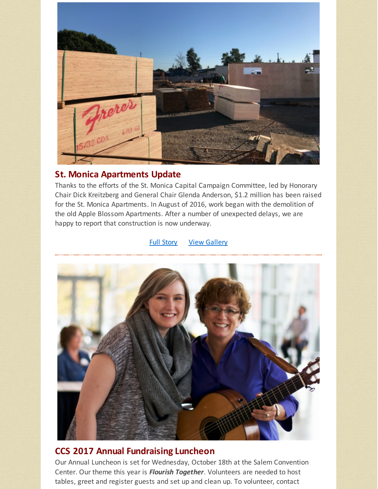

### **St. Monica Apartments Update**

Thanks to the efforts of the St. Monica Capital Campaign Committee, led by Honorary Chair Dick Kreitzberg and General Chair Glenda Anderson, \$1.2 million has been raised for the St. Monica Apartments. In August of 2016, work began with the demolition of the old Apple Blossom Apartments. After a number of unexpected delays, we are happy to report that construction is now underway.

#### Full [Story](http://r20.rs6.net/tn.jsp?f=001n3HckLhJJ6m86kBktiY3RoszDREXw4-FHBy9prpGKqFqX-0sgrFbOP3TO0TpLTjUw5RGnzHyZk23zOTGJ_6OHMfGZBlx8yNDFNBUgKw0rDQD-OIffqGDvZysOBCuNcuYZ1RcETpUCuyx5hMoCtvs3G9Jc_9W94MDqGrTeqOMQGzfkUgT2ie8G3EQ8S2kHlTxrKGJ8j-u6h6PtVgFCsOGiaZAQZYbA_vZBwFPtDlPRsrbMq7dTA81RbFKWVrE4YN0v9VNYwS9eWQ_sNNB_7HFD2kV_3F3pvNJJj37k6JYL1o=&c=&ch=) **View [Gallery](http://r20.rs6.net/tn.jsp?f=001n3HckLhJJ6m86kBktiY3RoszDREXw4-FHBy9prpGKqFqX-0sgrFbOP3TO0TpLTjUN0AK-7mlHOXotwYHg-28ImFdtr3baJW9hEpO_5ut5ZzwIyDD4FeXE-J87iCUguhbw-h5gZj9mUHB6JAz3scj3tmx5A3vOz6mGkpL6_SmWbW4I_br-exGrYN_LeXdcBgTkCmPPnLO784=&c=&ch=)**



## **CCS 2017 Annual Fundraising Luncheon**

Our Annual Luncheon is set for Wednesday, October 18th at the Salem Convention Center. Our theme this year is *Flourish Together*. Volunteers are needed to host tables, greet and register guests and set up and clean up. To volunteer, contact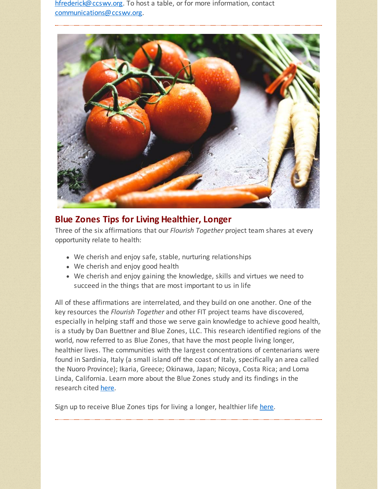[hfrederick@ccswv.org](mailto:HeidiFrederick@ccswv.org). To host a table, or for more information, contact [communications@ccswv.org](mailto:communications@ccswv.org).



## **Blue Zones Tips for Living Healthier, Longer**

Three of the six affirmations that our *Flourish Together* project team shares at every opportunity relate to health:

- We cherish and enjoy safe, stable, nurturing relationships
- We cherish and enjoy good health
- We cherish and enjoy gaining the knowledge, skills and virtues we need to succeed in the things that are most important to us in life

All of these affirmations are interrelated, and they build on one another. One of the key resources the *Flourish Together* and other FIT project teams have discovered, especially in helping staff and those we serve gain knowledge to achieve good health, is a study by Dan Buettner and Blue Zones, LLC. This research identified regions of the world, now referred to as Blue Zones, that have the most people living longer, healthier lives. The communities with the largest concentrations of centenarians were found in Sardinia, Italy (a small island off the coast of Italy, specifically an area called the Nuoro Province); Ikaria, Greece; Okinawa, Japan; Nicoya, Costa Rica; and Loma Linda, California. Learn more about the Blue Zones study and its findings in the research cited [here](http://r20.rs6.net/tn.jsp?f=001n3HckLhJJ6m86kBktiY3RoszDREXw4-FHBy9prpGKqFqX-0sgrFbOP3TO0TpLTjULmdBT8lCbZGgWqYFrS1DL-FEIkTr99HVEwE24LHjfxXeunfiqY9NzFpvfS6odRhcmsSdrTHKWztXKkcwG8DB6IdaUYTwu-q1PIP8og8Q5A-yBjkOaAR58w==&c=&ch=).

Sign up to receive Blue Zones tips for living a longer, healthier life [here](http://r20.rs6.net/tn.jsp?f=001n3HckLhJJ6m86kBktiY3RoszDREXw4-FHBy9prpGKqFqX-0sgrFbOP3TO0TpLTjU9QOIo51Ui7_OSn-0xeviPi996TuGH0MGHmVhvL5lixnFxwZCnM0dynF159EVNF8HikNUwb50uDT5WbyhbynxabnKN58AvBpnSox7hi2EW17cxuVzI-7ESse-yIgVFoxE_TIYM6DeJJDkLpY9LI9inXNfnsFfby3jtBRrTYb6q4R-IDY7wEFlJ5ksOnAQ_gqSiSa6iiWQSO27g6TruMaGSJYJS_C7Qg_RSpNH8kj5lvw7rkpSOUHkw3ko2vgqbDcXJGQEZt5gYAOLK7q8wMLeXLmxmy5g4IdBYR2e6fouBdWqJJvJXH3GfWzrhuODDoBSSYoiTOaiVy99R3LqbMcYNaBaEyS8tW8PxaIQzBeuWJZtYsDtJYfOT_xkQe4bTs80-r0HkL7AaH0uM5GDCu1XOLF4UFJQ8HlLKsrqgWWZSwVLbCwCQF7EykchL9lIFe3L60zaYb3ipO_RbXQQDWiNqRzA_fnY7iycCL5eqvbtg_s=&c=&ch=).